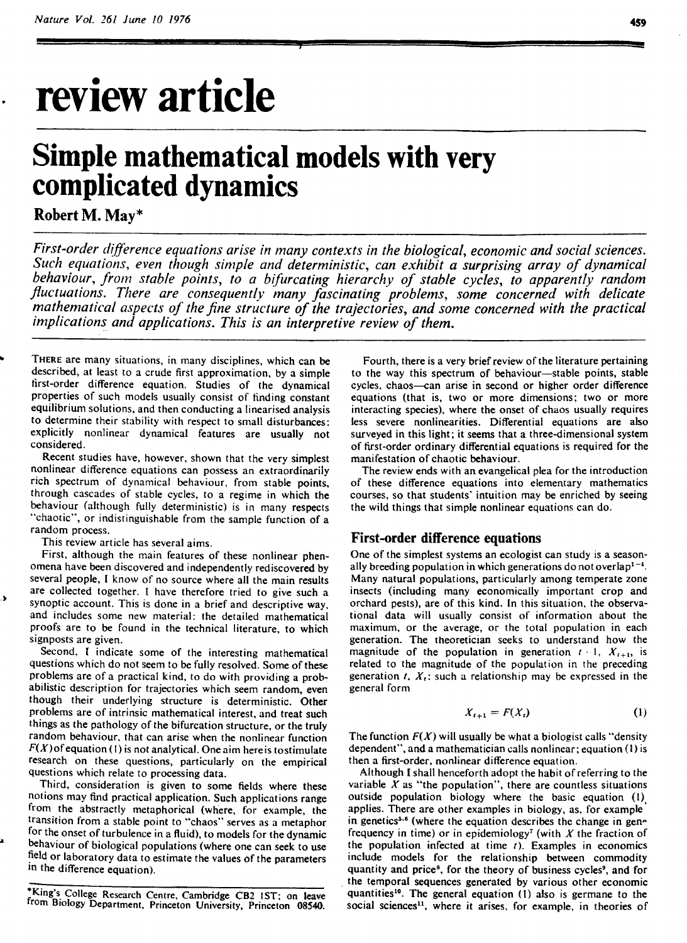## **review article**

# **Simple mathematical models with very complicated dynamics**

#### **Robert M. May\***

*First-order difference equations arise in many contexts in the biological, economic and social sciences. Such equations, even though simple and deterministic, can exhibit a surprising array of dynamical behaviour, from stable points, to a bifurcating hierarchy of stable cycles, to apparently random*  fluctuations. There are consequently many fascinating problems, some concerned with delicate *mathematical aspects of the fine structure of the trajectories, and some concerned with the practical implications and applications. This is an interpretive review of them.* 

THERE are many situations, in many disciplines, which can be described, at least to a crude first approximation, by a simple tirst-order difference equation. Studies of the dynamical properties of such models usually consist of finding constant equilibrium solutions, and then conducting a linearised analysis to determine their stability with respect to small disturbances: explicitly nonlinear dynamical features are usually not considered.

Recent studies have, however, shown that the very simplest nonlinear difference equations can possess an extraordinarily rich spectrum of dynamical behaviour, from stable points, through cascades of stable cycles, to a regime in which the behaviour (although fully deterministic) is in many respects "chaotic", or indistinguishable from the sample function of a random process.

This review article has several aims.

First, although the main features of these nonlinear phenomena have been discovered and independently rediscovered by several people, I know of no source where all the main results are collected together. I have therefore tried to give such a synoptic account. This is done in a brief and descriptive way. and includes some new material: the detailed mathematical proofs are to be found in the technical literature, to which signposts are given.

Second, I indicate some of the interesting mathematical questions which do not seem to be fully resolved. Some of these problems are of a practical kind, to do with providing a probabilistic description for trajectories which seem random, even though their underlying structure is deterministic. Other problems are of intrinsic mathematical interest, and treat such things as the pathology of the bifurcation structure, or the truly random behaviour. that can arise when the nonlinear function  $F(X)$  of equation (1) is not analytical. One aim here is to stimulate research on these questions, particularly on the empirical questions which relate to processing data.

Third, consideration is given to some fields where these notions may find practical application. Such applications range from the abstractly metaphorical (where, for example, the transition from a stable point to "chaos" serves as a metaphor for the onset of turbulence in a fluid), to models for the dynamic behaviour of biological populations (where one can seek to use field or laboratory data to estimate the values of the parameters in the difference equation).

Fourth, there is a very brief review of the literature pertaining to the way this spectrum of behaviour-stable points, stable cycles, chaos-can arise in second or higher order difference equations (that is, two or more dimensions; two or more interacting species), where the onset of chaos usually requires less severe nonlinearities. Differential equations are also surveyed in this light; it seems that a three-dimensional system of first-order ordinary differential equations is required for the manifestation of chaotic behaviour.

The review ends with an evangelical plea for the introduction of these difference equations into elementary mathematics courses, so that students' intuition may be enriched by seeing the wild things that simple nonlinear equations can do.

#### **First-order difference equations**

One of the simplest systems an ecologist can study is a seasonally breeding population in which generations do not overlap<sup> $1-4$ </sup>. Many natural populations, particularly among temperate zone insects (including many economically important crop and orchard pests), are of this kind. In this situation, the observational data will usually consist of information about the maximum, or the average, or the total population in each generation. The theoretician seeks to understand how the magnitude of the population in generation  $t = 1$ ,  $X_{t+1}$ , is related to the magnitude of the population in the preceding generation  $t$ ,  $X_t$ : such a relationship may be expressed in the general form

$$
X_{t+1} = F(X_t) \tag{1}
$$

The function  $F(X)$  will usually be what a biologist calls "density" dependent", and a mathematician calls nonlinear; equation **(1)** is then a first-order, nonlinear difference equation.

Although I shall henceforth adopt the habit of referring to the variable  $X$  as "the population", there are countless situations outside population biology where the basic equation (I), applies. There are other examples in biology, as, for example in genetics<sup>5.6</sup> (where the equation describes the change in genfrequency in time) or in epidemiology<sup>7</sup> (with  $X$  the fraction of the population infected at time  $t$ ). Examples in economics include models for the relationship between commodity quantity and price<sup>8</sup>, for the theory of business cycles<sup>9</sup>, and for the temporal sequences generated by various other economic quantities<sup>10</sup>. The general equation (1) also is germane to the social sciences<sup>11</sup>, where it arises, for example, in theories of

King's College Research Centre, Cambridge CB2 IST; on leave from Biology Department. Princeton University, Princeton **08540.**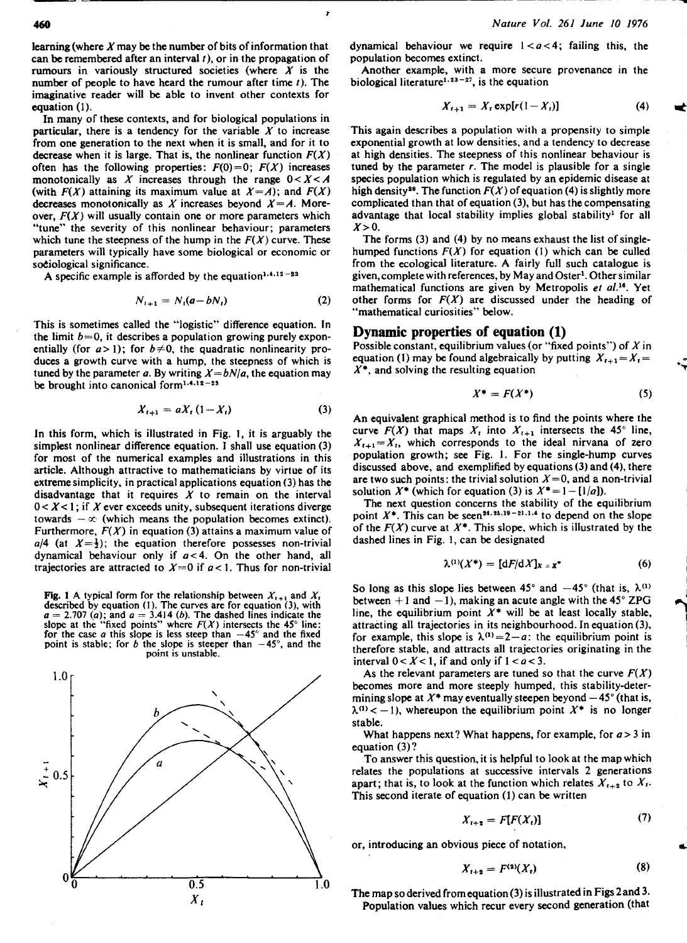460

learning (where  $X$  may be the number of bits of information that can be remembered after an interval  $t$ ), or in the propagation of rumours in variously structured societies (where  $X$  is the number of people to have heard the rumour after time  $t$ ). The imaginative reader will be able to invent other contexts for equation (I).

In many of these contexts, and for biological populations in particular, there is a tendency for the variable  $X$  to increase from one generation to the next when it is small, and for it to decrease when it is large. That is, the nonlinear function  $F(X)$ often has the following properties:  $F(0)=0$ ;  $F(X)$  increases monotonically as X increases through the range  $0 < X < A$ (with  $F(X)$  attaining its maximum value at  $X = A$ ); and  $F(X)$ decreases monotonically as X increases beyond  $X = A$ . Moreover,  $F(X)$  will usually contain one or more parameters which "tune" the severity of this nonlinear behaviour; parameters which tune the steepness of the hump in the  $F(X)$  curve. These parameters will typically have some biological or economic or sociological significance.

A specific example is afforded by the equation<sup>1,4,12-23</sup>

$$
N_{t+1} = N_t(a - bN_t) \tag{2}
$$

This is sometimes called the "logistic" difference equation. In the limit  $b=0$ , it describes a population growing purely exponentially (for  $a > 1$ ); for  $b \neq 0$ , the quadratic nonlinearity produces a growth curve with a hump, the steepness of which is tuned by the parameter a. By writing  $X = bN/a$ , the equation may be brought into canonical form<sup>1,4,12-23</sup>

$$
X_{t+1} = aX_t (1 - X_t) \tag{3}
$$

In this form, which is illustrated in Fig. 1, it is arguably the simplest nonlinear difference equation. I shall use equation (3) for most of the numerical examples and illustrations in this article. Although attractive to mathematicians by virtue of its extreme simplicity, in practical applications equation (3) has the disadvantage that it requires  $\overline{X}$  to remain on the interval  $0 < X < 1$ ; if X ever exceeds unity, subsequent iterations diverge towards  $-\infty$  (which means the population becomes extinct). Furthermore,  $F(X)$  in equation (3) attains a maximum value of  $a/4$  (at  $X=\frac{1}{2}$ ); the equation therefore possesses non-trivial dynamical behaviour only if  $a < 4$ . On the other hand, all trajectories are attracted to  $X=0$  if  $a<1$ . Thus for non-trivial

Fig. 1 A typical form for the relationship between  $X_{i+1}$  and  $X_i$ described by equation (1). The curves are for equation (3), with  $a = 2.707$  (a); and  $a = 3.414$  (b). The dashed lines indicate the slope at the "fixed points" where  $F(X)$  intersects the 45° line: for the case a this slope point is stable; for b the slope is steeper than  $-45^{\circ}$ , and the point is unstable.



dynamical behaviour we require  $1 < a < 4$ ; failing this, the population becomes extinct.

Another example, with a more secure provenance in the biological literature<sup>1,23-27</sup>, is the equation

$$
X_{t+1} = X_t \exp[r(1 - X_t)] \tag{4}
$$

This again describes a population with a propensity to simple exponential growth at low densities, and a tendency to decrease at high densities. The steepness of this nonlinear behaviour is tuned by the parameter  $r$ . The model is plausible for a single species population which is regulated by an epidemic disease at high density<sup>28</sup>. The function  $F(X)$  of equation (4) is slightly more complicated than that of equation (3), but has the compensating advantage that local stability implies global stability<sup>1</sup> for all  $X>0$ .

The forms (3) and (4) by no means exhaust the list of singlehumped functions  $F(X)$  for equation (1) which can be culled from the ecological literature. A fairly full such catalogue is given, complete with references, by May and Oster<sup>1</sup>. Other similar mathematical functions are given by Metropolis et al.<sup>16</sup>. Yet other forms for  $F(X)$  are discussed under the heading of "mathematical curiosities" below.

#### **Dynamic properties of equation (1)**

Possible constant, equilibrium values (or "fixed points") of  $X$  in equation (1) may be found algebraically by putting  $X_{t+1} = X_t =$  $X^*$ , and solving the resulting equation

$$
X^* = F(X^*)
$$
 (5)

An equivalent graphical method is to find the points where the curve  $F(X)$  that maps  $X_i$  into  $X_{i+1}$  intersects the 45° line,  $X_{t+1} = X_t$ , which corresponds to the ideal nirvana of zero population growth; see Fig. 1. For the single-hump curves discussed above, and exemplified by equations (3) and (4), there are two such points: the trivial solution  $X=0$ , and a non-trivial solution  $X^*$  (which for equation (3) is  $X^* = -[1/a]$ ).

The next question concerns the stability of the equilibrium point  $X^*$ . This can be seen<sup>24, 25, 19-21, 1.4</sup> to depend on the slope of the  $F(X)$  curve at  $X^*$ . This slope, which is illustrated by the dashed lines in Fig. I, can be designated

$$
\lambda^{(1)}(X^*) = [dF/dX]_{X=x^*}
$$
 (6)

So long as this slope lies between  $45^{\circ}$  and  $-45^{\circ}$  (that is,  $\lambda^{(1)}$ ) between  $+1$  and  $-1$ ), making an acute angle with the  $45^{\circ}$  ZPG between +1 and -1), making an acute angle with the 45° ZPG line, the equilibrium point  $X^*$  will be at least locally stable, attracting all trajectories in its neighbourhood. In equation (3), for example, this slope is  $\lambda^{(1)}=2-a$ : the equilibrium point is therefore stable, and attracts all trajectories originating in the interval  $0 < X < 1$ , if and only if  $1 < a < 3$ .

As the relevant parameters are tuned so that the curve  $F(X)$ becomes more and more steeply humped, this stability-determining slope at  $X^*$  may eventually steepen beyond  $-45^{\circ}$  (that is,  $\lambda^{(1)}$  < -1), whereupon the equilibrium point  $X^*$  is no longer stable.

What happens next? What happens, for example, for  $a > 3$  in equation (3)?

To answer this question, it is helpful to look at the map which relates the populations at successive intervals 2 generations apart; that is, to look at the function which relates  $X_{t+2}$  to  $X_t$ . This second iterate of equation (1) can be written

$$
X_{t+2} = F[F(X_t)] \tag{7}
$$

or, introducing an obvious piece of notation, **1~** 

$$
X_{t+2} = F^{(2)}(X_t) \tag{8}
$$

The map so derived fromequation (3) is illustrated in Figs 2and 3. Population values which recur every second generation (that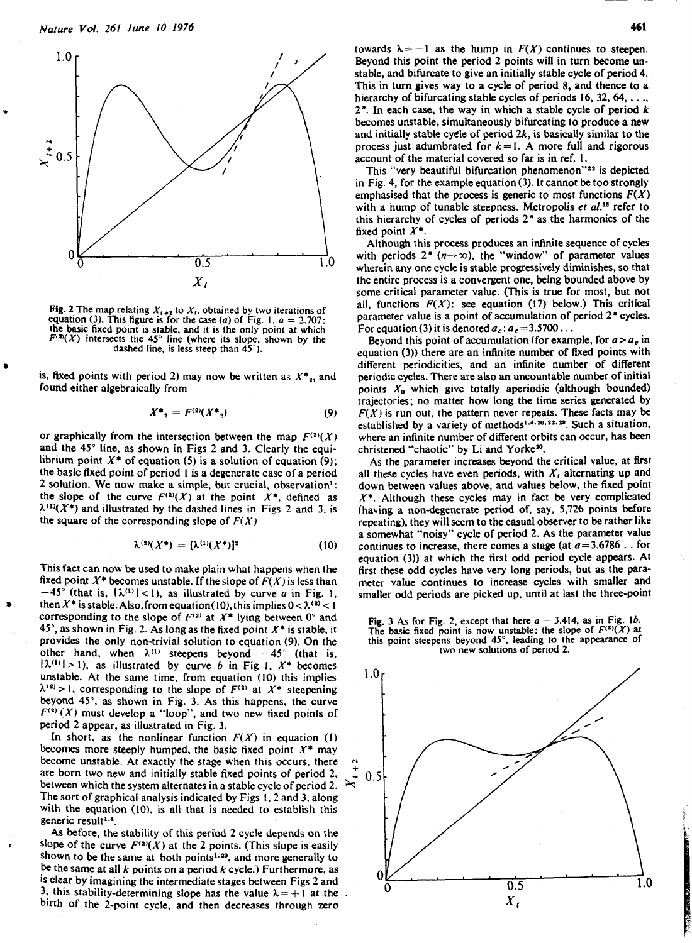

**Example 19 For the properties of the control** (3) it is denoted  $a_c$ :  $a_c = 3.5700$ ...<br>
the basic fixed point is stable, and it is the only point at which<br>
the basic fixed point is stable, and it is the only point at whic

$$
X^* = F^{(2)}(X^*) \tag{9}
$$

and the 45<sup>°</sup> line, as shown in Figs 2 and 3. Clearly the equi-<br>librium point  $X^*$  of equation (5) is a solution of equation (9); As the parameter increases beyond the critical value, at first librium point  $X^*$  of equation (5) is a solution of equation (9); the basic fixed point of period 1 is a degenerate case of a period **2 solution. We now make a simple, but crucial, observation<sup>1</sup>:** the slope of the curve  $F^{(2)}(X)$  at the point  $X^*$ , defined as  $\lambda^{(2)}(X^*)$  and illustrated by the dashed lines in Figs 2 and 3, is the square of the corresponding slope of  $F(X)$ 

$$
\lambda^{(2)}(X^*) = [\lambda^{(1)}(X^*)]^2 \tag{10}
$$

This fact can now be used to make plain what happens when the fixed point  $X^*$  becomes unstable. If the slope of  $F(X)$  is less than  $-45^\circ$  (that is,  $|\lambda^{(1)}|$ <1), as illustrated by curve *u* in Fig. 1, smaller odd periods are picked up, until at last the three-point then  $X^*$  is stable. Also, from equation(10), this implies  $0 < \lambda^{(2)} < 1$ <br>corresponding to the slope of  $F^{(2)}$  at  $X^*$  lying between  $0^\circ$  and corresponding to the slope of  $F^{(3)}$  at  $X^*$  lying between 0° and<br>45°, as shown in Fig. 2. As long as the fixed point  $X^*$  is stable, it The basic fixed point is now unstable: the slope of  $F^{(3)}(X)$  at provides the only non-trivial solution to equation (9). On the this point steepens beyond **45,** leading to the appearance of provides the only non-trivial solution to equation (9). On the this point steepens beyond  $45^\circ$ , leading to the other hand, when  $\lambda^{(1)}$  steepens beyond  $-45^\circ$  (that is, two new solutions of period 2.  $|\lambda^{(1)}| > 1$ ), as illustrated by curve b in Fig 1,  $X^*$  becomes unstable. At the same time, from equation (10) this implies  $1.0$  $\lambda^{(2)} > 1$ , corresponding to the slope of  $F^{(2)}$  at  $X^*$  steepening beyond 45", as shown in Fig. 3. As this happens, the curve  $F^{(2)}(X)$  must develop a "loop", and two new fixed points of period 2 appear, as illustrated in Fig. 3.

In short, as the nonlinear function  $F(X)$  in equation (1) becomes more steeply humped, the basic fixed point  $X^*$  may become unstable. At exactly the stage when this occurs, there are born two new and initially stable fixed points of period 2.  $\frac{1}{\infty}$  0.5. between which the system alternates in a stable cycle of period 2.  $\frac{1}{\infty}$ The sort of graphical analysis indicated by Figs 1.2 and 3, along with the equation (10), is all that is needed to establish this generic result<sup>1,4</sup>.

As before, the stability of this period **2** cycle depends on the slope of the curve  $F^{(2)}(X)$  at the 2 points. (This slope is easily shown to be the same at both points<sup>1.20</sup>, and more generally to the same at all k points on a period **k** cycle.) Furthermore, as 1s clear by imagining the intermediate stages between Figs **<sup>2</sup>**and 3, this stability-determining slope has the value  $\lambda=+1$  at the birth of the 2-point cycle, and then decreases through zero

towards  $\lambda = -1$  as the hump in  $F(X)$  continues to steepen. Beyond this point the period 2 points will in turn become unstable, and bifurcate to give an initially stable cycle of period 4. This in turn gives way to a cycle of period 8, and thence to a hierarchy of bifurcating stable cycles of periods 16, 32, 64, . . .,  $2<sup>n</sup>$ . In each case, the way in which a stable cycle of period k becomes unstable, simultaneously bifurcating to produce a new and initially stable cycle of period  $2k$ , is basically similar to the process just adumbrated for  $k=1$ . A more full and rigorous account of the material covered so far is in ref. I.

This "very beautiful bifurcation phenomenon"<sup>22</sup> is depicted in Fig. 4, for the example equation (3). It cannot be too strongly emphasised that the process is generic to most functions  $F(X)$ with a hump of tunable steepness. Metropolis et al.<sup>16</sup> refer to this hierarchy of cycles of periods **2"** as the harmonics of the fixed point  $X^*$ .<br>Although this process produces an infinite sequence of cycles

 $\frac{1}{1.0}$  with periods  $2^n$   $(n \rightarrow \infty)$ , the "window" of parameter values wherein any one cycle is stable progressively diminishes, so that the entire process is a convergent one, being bounded above by some critical parameter value. (This is true for most, but not all, functions  $F(X)$ : see equation (17) below.) This critical **Fig. 2** The map relating  $X_{t+2}$  to  $X_t$ , obtained by two iterations of all, functions  $F(X)$ : see equation (17) below.) This critical and the second of the second of the second of the second of the second of the second equation (3). This figure is for the case (*a*) of Fig. 1,  $a = 2.707$ : parameter value is a point of accumulation of period 2<sup>n</sup> cycles.

different periodicities, and an infinite number of different is, fixed points with period 2) may now be written as  $X^*_{2}$ , and periodic cycles. There are also an uncountable number of initial found either algebraically from **provident** points  $X_0$  which give totally aperiodic (a points  $X_0$  which give totally aperiodic (although bounded) trajectories; no matter how long the time series generated by  $F(X)$  is run out, the pattern never repeats. These facts may be established by a variety of methods<sup>1,4,20,22,29</sup>. Such a situation, or graphically from the intersection between the map  $F^{(2)}(X)$  where an infinite number of different orbits can occur, has been

> all these cycles have even periods, with  $X_t$  alternating up and down between values above, and values below, the fixed point  $X^*$ . Although these cycles may in fact be very complicated (having a non-degenerate period of, say, 5,726 points before repeating), they will seem to the casual observer to be rather like a somewhat "noisy" cycle of period 2. As the parameter value continues to increase, there comes a stage (at  $a=3.6786$  . . for equation (3)) at which the first odd period cycle appears. At first these odd cycles have very long periods, but as the parameter value continues to increase cycles with smaller and



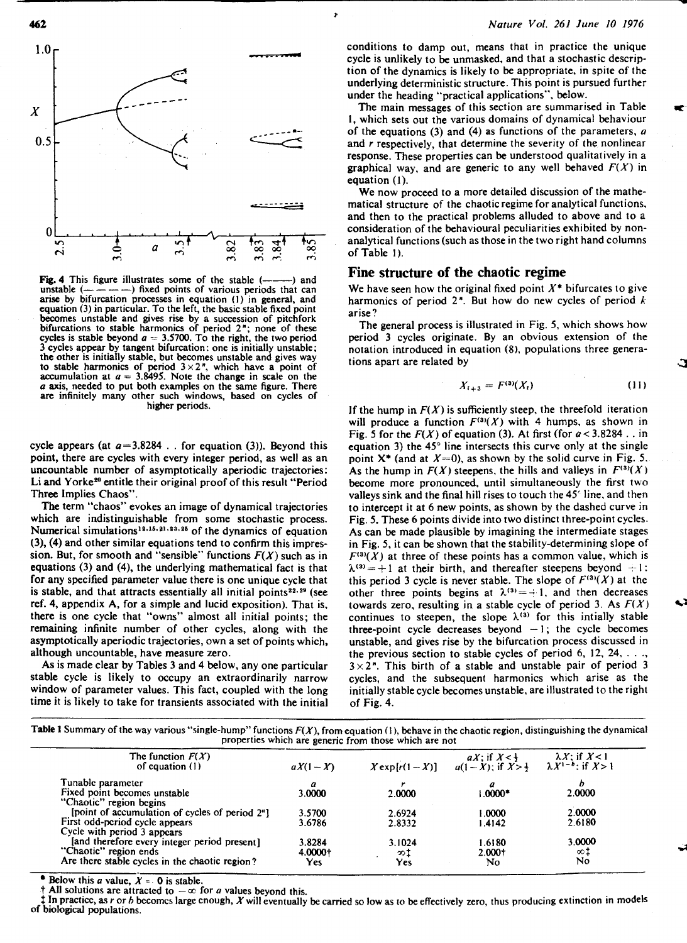



**Fig.** 4 This figure illustrates some of the stable (--) and arise by bifurcation processes in equation (1) in general, and<br>equation (3) in particular. To the left, the basic stable fixed point<br>becomes unstable and gives rise by a succession of pitchfork<br>bifurcations to stable harm cycles is stable beyond a = 3.5700. To the right, the two period 3 cycles appear by tangent bifurcation: one is initially unstable; the other is initially stable, but becomes unstable and gives way to stable harmonics of period  $3 \times 2$ ", which have a point of accumulation at  $a = 3.8495$ . Note the change in scale on the *a* axis, needed to put both examples on the same figure. There are infinitely many other such windows, based on cycles of higher periods.

cycle appears (at *a=3.8284* . . for equation *(3)).* Beyond this point, there are cycles with every integer period, as well as an uncountable number of asymptotically aperiodic trajectories: Li and Yorke<sup>20</sup> entitle their original proof of this result "Period Three Implies Chaos".

The term "chaos" evokes an image of dynamical trajectories which are indistinguishable from some stochastic process. Numerical simulations<sup>12,15,21,23,25</sup> of the dynamics of equation *(3), (4)* and other similar equations tend to confirm this impression. But, for smooth and "sensible" functions  $F(X)$  such as in equations *(3)* and *(4),* the underlying mathematical fact is that for any specified parameter value there is one unique cycle that is stable, and that attracts essentially all initial points $22.29$  (see ref. *4,* appendix A, for a simple and lucid exposition). That is, there is one cycle that "owns" almost all initial points; the remaining infinite number of other cycles, along with the asymptotically aperiodic trajectories, own a set of points which, although uncountable, have measure zero.

As is made clear by Tables *3* and *4* below, any one particular stable cycle is likely to occupy an extraordinarily narrow window of parameter values. This fact, coupled with the long time it is likely to take for transients associated with the initial

#### *Nature Vol. 261 June* **10 I976**

conditions to damp out, means that in practice the unique cycle is unlikely to be unmasked, and that a stochastic description of the dynamics is likely to be appropriate, in spite of the underlying deterministic structure. This point is pursued further under the heading "practical applications", below.

The main messages of this section are summarised in Table I, which sets out the various domains of dynamical behaviour of the equations *(3)* and *(4)* as functions of the parameters, a and **r** respectively, that determine the severity of the nonlinear response. These properties can be understood qualitatively in a graphical way, and are generic to any well behaved  $F(X)$  in equation *(1).* 

We now proceed to a more detailed discussion of the mathematical structure of the chaotic regime for analytical functions, and then to the practical problems alluded to above and to a consideration of the behavioural peculiarities exhibited by nonanalytical functions (such as those in the two right hand columns of Table 1).

#### **Fine structure of the chaotic regime**

We have seen how the original fixed point  $X^*$  bifurcates to give harmonics of period  $2^n$ . But how do new cycles of period  $k$ arise ?

The general process is illustrated in Fig. *5,* which shows how period *3* cycles originate. By an obvious extension of the notation introduced in equation (8). populations three generations apart are related by

$$
X_{t+3} = F^{(3)}(X_t) \tag{11}
$$

If the hump in  $F(X)$  is sufficiently steep, the threefold iteration will produce a function  $F^{(3)}(X)$  with 4 humps, as shown in Fig. 5 for the  $F(X)$  of equation (3). At first (for  $a < 3.8284$ ... in equation *3)* the *45"* line intersects this curve only at the single point X\* (and at *X=O),* as shown by the solid curve in Fig. *5.*  As the hump in  $F(X)$  steepens, the hills and valleys in  $F^{(3)}(X)$ become more pronounced, until simultaneously the first two valleys sink and the final hill rises to touch the *45'* line, and then to intercept it at 6 new points, as shown by the dashed curve in Fig. *5.* These 6 points divide into two distinct three-point cycles. As can be made plausible by imagining the intermediate stages in Fig. *5,* it can be shown that the stability-determining slope of  $F^{(3)}(X)$  at three of these points has a common value, which is  $\lambda^{(3)} = +1$  at their birth, and thereafter steepens beyond  $+ 1$ : this period 3 cycle is never stable. The slope of  $F^{(3)}(X)$  at the other three points begins at  $\lambda^{(3)} = -1$ , and then decreases towards zero, resulting in a stable cycle of period 3. As  $F(X)$ continues to steepen, the slope  $\lambda^{(3)}$  for this intially stable three-point cycle decreases beyond  $-1$ ; the cycle becomes unstable, and gives rise by the bifurcation process discussed in the previous section to stable cycles of period 6, *12, 24,* . . ., *3x2".* This birth of a stable and unstable pair of period *3*  cycles, and the subsequent harmonics which arise as the initially stablecycle becomes unstable, are illustrated to the right of Fig. *4.* 

| Table 1 Summary of the way various "single-hump" functions $F(X)$ , from equation (1), behave in the chaotic region, distinguishing the dynamical |  |
|---------------------------------------------------------------------------------------------------------------------------------------------------|--|
| properties which are generic from those which are not                                                                                             |  |

e

| The function $F(X)$<br>of equation $(1)$       | $aX(1-X)$ | $X \exp[r(1-X)]$ | $aX$ : if $X < \frac{1}{2}$<br>$a(1-X)$ ; if $X > \frac{1}{2}$ | $\lambda X$ : if $X$ <1<br>$\lambda X^{1-b}$ ; if $X>1$ |
|------------------------------------------------|-----------|------------------|----------------------------------------------------------------|---------------------------------------------------------|
| Tunable parameter                              | a         |                  | a                                                              |                                                         |
| Fixed point becomes unstable                   | 3.0000    | 2.0000           | $0.000*$                                                       | 2.0000                                                  |
| "Chaotic" region begins                        |           |                  |                                                                |                                                         |
| [point of accumulation of cycles of period 2"] | 3.5700    | 2.6924           | 1.0000                                                         | 2.0000                                                  |
| First odd-period cycle appears                 | 3.6786    | 2.8332           | 1.4142                                                         | 2.6180                                                  |
| Cycle with period 3 appears                    |           |                  |                                                                |                                                         |
| [and therefore every integer period present]   | 3.8284    | 3.1024           | 1.6180                                                         | 3.0000                                                  |
| "Chaotic" region ends                          | 4.0000+   | න‡               | 2.000+                                                         | ∞1                                                      |
| Are there stable cycles in the chaotic region? | Yes       | Yes              | No                                                             | No.                                                     |

Below this *a* value,  $X = 0$  is stable.

All solutions are attracted to  $-\infty$  for *a* values beyond this.

1 In practice, as *r* or **h** becomcs large enough, X will eventually be carried so low as to be effectively zero, thus producing extinction in models of biological populations.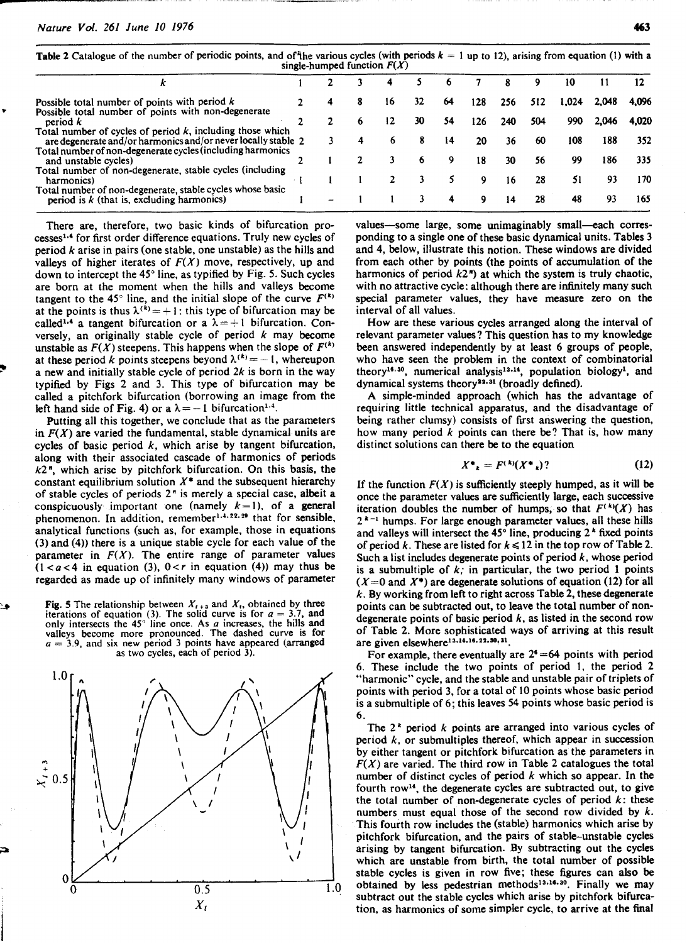Table 2 Catalogue of the number of periodic points, and of the various cycles (with periods  $k = 1$  up to 12), arising from equation (1) with a single-humped function  $F(X)$ 

|                                                                                                                               |  |    |    |    |     |     |     | 10    |       |       |
|-------------------------------------------------------------------------------------------------------------------------------|--|----|----|----|-----|-----|-----|-------|-------|-------|
| Possible total number of points with period $k$                                                                               |  | 16 | 32 | 64 | 128 | 256 | 512 | 1.024 | 2.048 | 4.096 |
| Possible total number of points with non-degenerate<br>period k                                                               |  | 12 | 30 | 54 | 126 | 240 | 504 | 990   | 2.046 | 4.020 |
| Total number of cycles of period $k$ , including those which<br>are degenerate and/or harmonics and/or never locally stable 2 |  |    |    | 14 | 20  | 36  | 60  | 108   | 188   | 352   |
| Total number of non-degenerate cycles (including harmonics<br>and unstable cycles)                                            |  |    |    |    | 18  | 30  | 56  | 99    | 186   | 335   |
| Total number of non-degenerate, stable cycles (including<br>harmonics)                                                        |  |    |    |    |     | 16  | 28  | 51    | 93    | 170   |
| Total number of non-degenerate, stable cycles whose basic<br>period is $k$ (that is, excluding harmonics)                     |  |    |    |    | Q   | 14  | 28  | 48    | 93    | 165   |

There are, therefore, two basic kinds of bifurcation processes<sup>1.4</sup> for first order difference equations. Truly new cycles of period  $k$  arise in pairs (one stable, one unstable) as the hills and valleys of higher iterates of  $F(X)$  move, respectively, up and down to intercept the 45° line, as typified by Fig. 5. Such cycles are born at the moment when the hills and valleys become tangent to the 45° line, and the initial slope of the curve  $F^{(k)}$ at the points is thus  $\lambda^{(k)} = +1$ : this type of bifurcation may be called<sup>1,4</sup> a tangent bifurcation or a  $\lambda = +1$  bifurcation. Conversely, an originally stable cycle of period  $k$  may become unstable as  $F(X)$  steepens. This happens when the slope of  $F^{(k)}$ at these period k points steepens beyond  $\lambda^{(k)} = -1$ , whereupon a new and initially stable cycle of period  $2k$  is born in the way typified by Figs 2 and 3. This type of bifurcation may be called a pitchfork bifurcation (borrowing an image from the left hand side of Fig. 4) or a  $\lambda = -1$  bifurcation<sup>1.4</sup>.

Putting all this together, we conclude that as the parameters in  $F(X)$  are varied the fundamental, stable dynamical units are cycles of basic period  $k$ , which arise by tangent bifurcation, along with their associated cascade of harmonics of periods  $k2$ ", which arise by pitchfork bifurcation. On this basis, the constant equilibrium solution  $X^*$  and the subsequent hierarchy of stable cycles of periods **2"** is merely a special case, albeit a conspicuously important one (namely  $k=1$ ), of a general phenomenon. In addition, remember<sup>1,4,22,29</sup> that for sensible, analytical functions (such as, for example, those in equations (3) and (4)) there is a unique stable cycle for each value of the parameter in  $F(X)$ . The entire range of parameter values  $(1 < a < 4$  in equation (3),  $0 < r$  in equation (4)) may thus be regarded as made up of infinitely many windows of parameter

**3 Fig.** 5 The relationship between  $X_{t+3}$  and  $X_t$ , obtained by three iterations of equation (3). The solid curve is for  $a = 3.7$ , and only intersects the  $45^{\circ}$  line once. As  $\overline{a}$  increases, the hills and valleys become more pronounced. The dashed curve is for  $a = 3.9$ , and six new period 3 points have appeared (arranged as two cycles, each of period 3).



values-some large, some unimaginably small-each corresponding to a single one of these basic dynamical units. Tables 3 and 4, below, illustrate this notion. These windows are divided from each other by points (the points of accumulation of the harmonics of period  $k2$ ") at which the system is truly chaotic, with no attractive cycle: although there are infinitely many such special parameter values, they have measure zero on the interval of all values.

How are these various cycles arranged along the interval of relevant parameter values? This question has to my knowledge been answered independently by at least 6 groups of people, who have seen the problem in the context of combinatorial theory<sup>16,30</sup>, numerical analysis<sup>13,14</sup>, population biology<sup>1</sup>, and dynamical systems theory<sup>22.31</sup> (broadly defined).

A simple-minded approach (which has the advantage of requiring little technical apparatus, and the disadvantage of being rather clumsy) consists of first answering the question, how many period  $k$  points can there be? That is, how many distinct solutions can there be to the equation

$$
X^* = F^{(k)}(X^*))
$$
 (12)

If the function  $F(X)$  is sufficiently steeply humped, as it will be once the parameter values are sufficiently large, each successive iteration doubles the number of humps, so that  $F^{(k)}(X)$  has  $2^{k-1}$  humps. For large enough parameter values, all these hills and valleys will intersect the  $45^\circ$  line, producing  $2^k$  fixed points of period k. These are listed for  $k \le 12$  in the top row of Table 2. Such a list includes degenerate points of period  $k$ , whose period is a submultiple of  $k$ ; in particular, the two period 1 points  $(X=0$  and  $X^*$ ) are degenerate solutions of equation (12) for all  $k$ . By working from left to right across Table 2, these degenerate points can be subtracted out, to leave the total number of nondegenerate points of basic period  $k$ , as listed in the second row of Table 2. More sophisticated ways of arriving at this result are given elsewhere<sup>13.14.16.22.30</sup>,<sup>31</sup>.

For example, there eventually are  $2<sup>6</sup>=64$  points with period 6. These include the two points of period 1, the period 2 "harmonic" cycle, and the stable and unstable pair of triplets of points with period 3, for a total of 10 points whose basic period is a submultiple of 6; this leaves 54 points whose basic period is 6.

The  $2^k$  period k points are arranged into various cycles of period  $k$ , or submultiples thereof, which appear in succession by either tangent or pitchfork bifurcation as the parameters in  $F(X)$  are varied. The third row in Table 2 catalogues the total number of distinct cycles of period  $k$  which so appear. In the fourth row14, the degenerate cycles are subtracted out, to give the total number of non-degenerate cycles of period  $k$ : these numbers must equal those of the second row divided by  $k$ . This fourth row includes the (stable) harmonics which arise by pitchfork bifurcation, and the pairs of stable-unstable cycles arising by tangent bifurcation. By subtracting out the cycles which are unstable from birth, the total number of possible stable cycles is given in row five; these figures can also **be**  obtained by less pedestrian methods<sup>13,16.30</sup>. Finally we may subtract out the stable cycles which arise by pitchfork bifurcation, as harmonics of some simpler cycle, to arrive at the final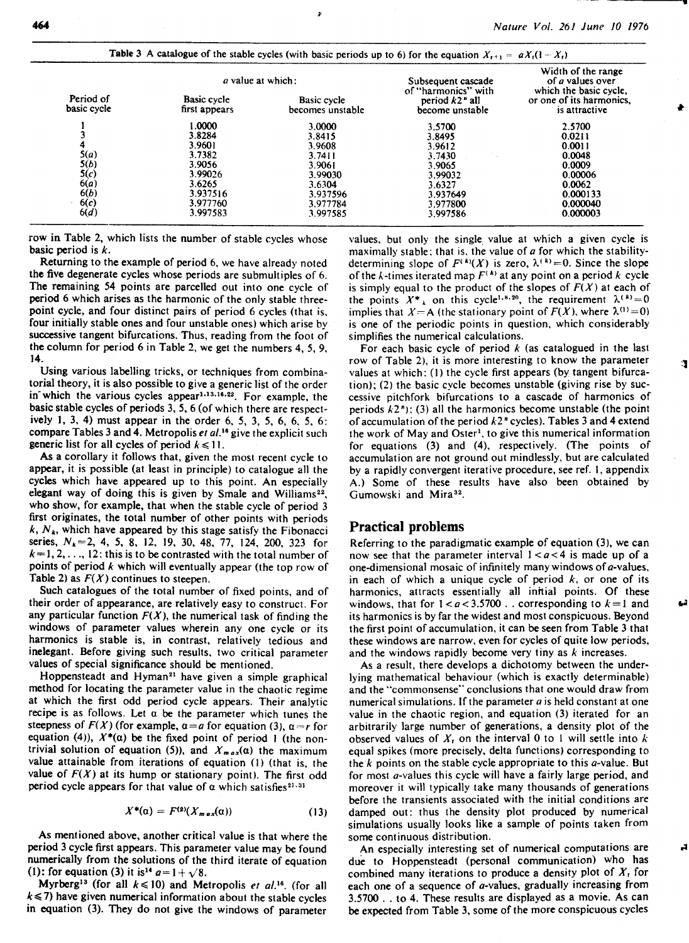|                                                | <i>a</i> value at which:     |                                 | Subsequent cascade<br>of "harmonics" with | Width of the range<br>of <i>a</i> values over<br>which the basic cycle, |  |
|------------------------------------------------|------------------------------|---------------------------------|-------------------------------------------|-------------------------------------------------------------------------|--|
| Period of<br>basic cycle                       | Basic cycle<br>first appears | Basic cycle<br>becomes unstable | period $k2$ " all<br>become unstable      | or one of its harmonics,<br>is attractive                               |  |
|                                                | 1.0000                       | 3.0000                          | 3.5700                                    | 2.5700                                                                  |  |
|                                                | 3.8284                       | 3.8415                          | 3.8495                                    | 0.0211                                                                  |  |
|                                                | 3.9601                       | 3.9608                          | 3.9612                                    | 0.0011                                                                  |  |
|                                                | 3.7382                       | 3.7411                          | 3.7430                                    | 0.0048                                                                  |  |
|                                                | 3.9056                       | 3.9061                          | 3.9065                                    | 0.0009                                                                  |  |
|                                                | 3.99026                      | 3.99030                         | 3.99032                                   | 0.00006                                                                 |  |
| $5(a)$<br>$5(b)$<br>$5(c)$<br>$6(a)$<br>$6(b)$ | 3.6265                       | 3.6304                          | 3.6327                                    | 0.0062                                                                  |  |
|                                                | 3.937516                     | 3.937596                        | 3.937649                                  | 0.000133                                                                |  |
| 6(c)                                           | 3.977760                     | 3.977784                        | 3.977800                                  | 0.000040                                                                |  |
| 6(d)                                           | 3.997583                     | 3.997585                        | 3.997586                                  | 0.000003                                                                |  |

**P** 

row in Table 2, which lists the number of stable cycles whose basic period is  $k$ .

Returning to the example of period 6, we have already noted the five degenerate cycles whose periods are submultiples of 6. The remaining 54 points are parcelled out into one cycle of period 6 which arises as the harmonic of the only stable threepoint cycle, and four distinct pairs of period 6 cycles (that is, four initially stable ones and four unstable ones) which arise by successive tangent bifurcations. Thus, reading from the foot of the column for period 6 in Table 2, we get the numbers 4, 5, 9, 14.

Using various labelling tricks, or techniques from combinatorial theory, it is also possible to give a generic list of the order in which the various cycles appear<sup>1,13,16,22</sup>. For example, the basic stable cycles of periods 3, **5,** 6 (of which there are respectively 1, 3, 4) must appear in the order 6, 5, 3, 5, 6, 6, 5, 6: compare Tables 3 and 4. Metropolis et al.<sup>16</sup> give the explicit such **generic** list for all cycles of period  $k \le 11$ .

As a corollary it follows that, given the most recent cycle to appear, it is possible (at least in principle) to catalogue all the cycles which have appeared up to this point. An especially elegant way of doing this is given by Smale and Williams<sup>22</sup>. who show, for example, that when the stable cycle of period 3 first originates, the total number of other points with periods  $k$ ,  $N_k$ , which have appeared by this stage satisfy the Fibonacci series, Nk=2, 4, **5,** 8, 12, 19, 30, 48, **77,** 124, 200, 323 for  $k=1, 2, \ldots, 12$ : this is to be contrasted with the total number of points of period  $k$  which will eventually appear (the top row of Table 2) as  $F(X)$  continues to steepen.

Such catalogues of the total number of fixed points, and of their order of appearance, are relatively easy to construct. For any particular function  $F(X)$ , the numerical task of finding the windows of parameter values wherein any one cycle or its harmonics is stable is, in contrast, relatively tedious and inelegant. Before giving such results, two critical parameter values of special significance should be mentioned.

Hoppensteadt and Hyman<sup>21</sup> have given a simple graphical method for locating the parameter value in the chaotic regime at which the first odd period cycle appears. Their analytic recipe is as follows. Let  $\alpha$  be the parameter which tunes the steepness of  $F(X)$  (for example,  $\alpha = a$  for equation (3),  $\alpha = r$  for equation (4)),  $X^*(\alpha)$  be the fixed point of period 1 (the nontrivial solution of equation (5)), and  $X_{max}(\alpha)$  the maximum value attainable from iterations of equation (1) (that is, the value of  $F(X)$  at its hump or stationary point). The first odd period cycle appears for that value of  $\alpha$  which satisfies<sup>21.31</sup>

$$
X^{\ast}(\alpha) = F^{(2)}(X_{max}(\alpha)) \qquad (13)
$$

As mentioned above, another critical value is that where the period 3 cycle first appears. This parameter value may be found numerically from the solutions of the third iterate of equation (1): for equation (3) it is<sup>14</sup>  $a = 1 + \sqrt{8}$ .

Myrberg<sup>13</sup> (for all  $k \le 10$ ) and Metropolis et al.<sup>16</sup>. (for all  $k \le 7$ ) have given numerical information about the stable cycles in equation (3). They do not give the windows of parameter values. but only the single value at which a given cycle is maximally stable: that is, the value of  $a$  for which the stabilitydetermining slope of  $F^{(k)}(X)$  is zero,  $\lambda^{(k)}=0$ . Since the slope of the k-times iterated map  $F^{(k)}$  at any point on a period k cycle is simply equal to the product of the slopes of  $F(X)$  at each of the points  $X^*$  on this cycle<sup>1,8,20</sup>, the requirement  $\lambda^{(k)}=0$ implies that  $X = A$  (the stationary point of  $F(X)$ , where  $\lambda^{(1)} = 0$ ) is one of the periodic points in question, which considerably simplifies the numerical calculations.

For each basic cycle of period  $k$  (as catalogued in the last row of Table 2), it is more interesting to know the parameter values at which: (1) the cycle first appears (by tangent bifurcation); (2) the basic cycle becomes unstable (giving rise by successive pitchfork bifurcations to a cascade of harmonics of periods  $k2$ "); (3) all the harmonics become unstable (the point of accumulation of the period  $k2$ " cycles). Tables 3 and 4 extend the work of May and Oster', to give this numerical information for equations (3) and (4), respectively. (The points of accumulation are not ground out mindlessly, but are calculated by a rapidly convergent iterative procedure, see ref. I, appendix A.) Some of these results have also been obtained by Gumowski and Mira<sup>32</sup>.

#### **Practical problems**

Referring to the paradigmatic example of equation (3), we can now see that the parameter interval  $1 < a < 4$  is made up of a one-dimensional mosaic of infinitely many windows of a-values. in each of which a unique cycle of period  $k$ , or one of its harmonics, attracts essentially all initial points. Of these windows, that for  $1 < a < 3.5700$ . corresponding to  $k=1$  and its harmonics is by far the widest and most conspicuous. Beyond the first point of accumulation, it can be seen from Table 3 that these windows are narrow, even for cycles of quite low periods, and the windows rapidly become very tiny as  $k$  increases.

As a result, there develops a dichotomy between the underlying mathematical behaviour (which is exactly determinable) and the "commonsense" conclusions that one would draw from numerical simulations. If the parameter  $a$  is held constant at one value in the chaotic region, and equation (3) iterated for an arbitrarily large number of generations, a density plot of the observed values of  $X<sub>t</sub>$  on the interval 0 to 1 will settle into k equal spikes (more precisely, delta functions) corresponding to the  $k$  points on the stable cycle appropriate to this  $a$ -value. But for most a-values this cycle will have a fairly large period, and moreover it will typically take many thousands of generations before the transients associated with the initial conditions are damped out: thus the density plot produced by numerical simulations usually looks like a sample of points taken from some continuous distribution.

An especially interesting set of numerical computations are due to Hoppensteadt (personal communication) who has combined many iterations to produce a density plot of **X,** for each one of a sequence of a-values, gradually increasing from **3.5700** . . to 4. These results are displayed as a movie. As can be expected from Table 3, some of the more conspicuous cycles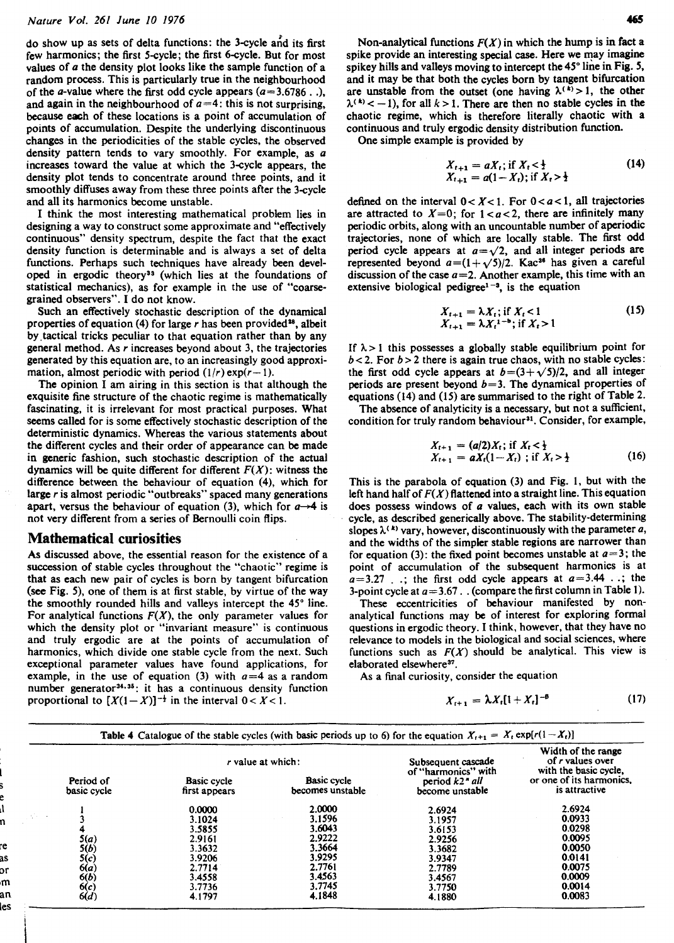do show up as sets of delta functions: the 3-cycle and its first few harmonics; the first 5-cycle; the first 6-cycle. But for most values of a the density plot looks like the sample function of a random process. This is particularly true in the neighbourhood of the *a*-value where the first odd cycle appears  $(a=3.6786)$ ... and again in the neighbourhood of  $a=4$ : this is not surprising, because each of these locations is a point of accumulation of points of accumulation. Despite the underlying discontinuous changes in the periodicities of the stable cycles, the observed density pattern tends to vary smoothly. For example, as **n**  increases toward the value at which the 3-cycle appears, the density plot tends to concentrate around three points, and it smoothly diffuses away from these three points after the 3-cycle and all its harmonics become unstable.

I think the most interesting mathematical problem lies in designing a way to construct some approximate and "effectively continuous" density spectrum, despite the fact that the exact density function is determinable and is always a set of delta functions. Perhaps such techniques have already been developed in ergodic theory<sup>33</sup> (which lies at the foundations of statistical mechanics), as for example in the use of "coarsegrained observers". I do not know.

Such an effectively stochastic description of the dynamical properties of equation (4) for large r has been provided<sup>28</sup>, albeit by ,tactical tricks peculiar to that equation rather than by any general method. As r increases beyond about 3, the trajectories generated by this equation are, to an increasingly good approximation, almost periodic with period  $(1/r)$  exp( $r-1$ ).

The opinion I am airing in this section is that although the exquisite fine structure of the chaotic regime is mathematically fascinating, it is irrelevant for most practical purposes. What seems called for is some effectively stochastic description of the deterministic dynamics. Whereas the various statements about the different cycles and their order of appearance can be made in generic fashion, such stochastic description of the actual dynamics will be quite different for different  $F(X)$ : witness the difference between the behaviour of equation (4), which for large r is almost periodic "outbreaks" spaced many generations apart, versus the behaviour of equation (3), which for  $a \rightarrow 4$  is not very different from a series of Bernoulli coin flips.

#### **Mathematical curiosities**

les

AS discussed above, the essential reason for the existence of a succession of stable cycles throughout the "chaotic" regime is that as each new pair of cycles is born by tangent bifurcation **(see** Fig. 5). one of them is at first stable, by virtue of the way the smoothly rounded hills and valleys intercept the 45° line. For analytical functions  $F(X)$ , the only parameter values for which the density plot or "invariant measure" is continuous and truly ergodic are at the points of accumulation of harmonics, which divide one stable cycle from the next. Such exceptional parameter values have found applications, for example, in the use of equation (3) with  $a=4$  as a random number generator<sup>34,35</sup>: it has a continuous density function proportional to  $[X(1-X)]^{-\frac{1}{2}}$  in the interval  $0 < X < 1$ .

Non-analytical functions  $F(X)$  in which the hump is in fact a spike provide an interesting special case. Here we may imagine spikey hills and valleys moving to intercept the 45° line in Fig. 5, and it may be that both the cycles born by tangent bifurcation are unstable from the outset (one having  $\lambda^{(k)} > 1$ , the other  $\lambda^{(k)}$  < -1), for all  $k > 1$ . There are then no stable cycles in the chaotic regime, which is therefore literally chaotic with a continuous and truly ergodic density distribution function.

One simple example is provided by

$$
X_{t+1} = aX_t; \text{ if } X_t < \frac{1}{2}
$$
  
\n
$$
X_{t+1} = a(1-X_t); \text{ if } X_t > \frac{1}{2}
$$
\n(14)

defined on the interval  $0 < X < 1$ . For  $0 < a < 1$ , all trajectories are attracted to  $X=0$ ; for  $1 < a < 2$ , there are infinitely many periodic orbits, along with an uncountable number of aperiodic trajectories, none of which are locally stable. The first odd period cycle appears at  $a=\sqrt{2}$ , and all integer periods are represented beyond  $a=(1+\sqrt{5})/2$ . Kac<sup>36</sup> has given a careful discussion of the case  $a=2$ . Another example, this time with an extensive biological pedigree<sup> $1-x$ </sup>, is the equation

$$
X_{t+1} = \lambda X_t; \text{ if } X_t < 1
$$
  
\n
$$
X_{t+1} = \lambda X_t^{1-b}; \text{ if } X_t > 1
$$
\n(15)

If  $\lambda > 1$  this possesses a globally stable equilibrium point for  $b < 2$ . For  $b > 2$  there is again true chaos, with no stable cycles: the first odd cycle appears at  $b=(3+\sqrt{5})/2$ , and all integer periods are present beyond  $b=3$ . The dynamical properties of equations (14) and (15) are summarised to the right of Table 2.

The absence of analyticity is a necessary, but not a sufficient, condition for truly random behaviour<sup>31</sup>. Consider, for example,

$$
X_{t+1} = (a/2)X_t; \text{ if } X_t < \frac{1}{2}
$$
  
 
$$
X_{t+1} = aX_t(1-X_t); \text{ if } X_t > \frac{1}{2}
$$
 (16)

This is the parabola of equation (3) and Fig. 1, but with the left hand half of  $F(X)$  flattened into a straight line. This equation does possess windows of a values, each with its own stable cycle, as described generically above. The stability-determining slopes  $\lambda^{(k)}$  vary, however, discontinuously with the parameter a, and the widths of the simpler stable regions are narrower than for equation (3): the fixed point becomes unstable at  $a=3$ ; the point of accumulation of the subsequent harmonics is at  $a=3.27$  . .; the first odd cycle appears at  $a=3.44$  . .; the 3-point cycle at  $a=3.67$ . . (compare the first column in Table 1).

These eccentricities of behaviour manifested by nonanalytical functions may be of interest for exploring formal questions in ergodic theory. I think, however, that they have no relevance to models in the biological and social sciences, where functions such as  $F(X)$  should be analytical. This view is elaborated elsewhere<sup>37</sup>.

As a final curiosity, consider the equation

$$
X_{t+1} = \lambda X_t [1 + X_t]^{-\beta}
$$
 (17)

|           |                                                |                                     | r value at which:                      | Subsequent cascade<br>of "harmonics" with                    | Width of the range<br>of r values over<br>with the basic cycle, |  |  |
|-----------|------------------------------------------------|-------------------------------------|----------------------------------------|--------------------------------------------------------------|-----------------------------------------------------------------|--|--|
|           | Period of<br>basic cycle                       | <b>Basic cycle</b><br>first appears | <b>Basic cycle</b><br>becomes unstable | period $k2$ <sup><math>n</math></sup> all<br>become unstable | or one of its harmonics,<br>is attractive                       |  |  |
|           |                                                | 0.0000                              | 2.0000                                 | 2.6924                                                       | 2.6924                                                          |  |  |
| Africa 14 |                                                | 3.1024                              | 3.1596                                 | 3.1957                                                       | 0.0933                                                          |  |  |
|           |                                                | 3.5855                              | 3.6043                                 | 3.6153                                                       | 0.0298                                                          |  |  |
|           | 5(a)                                           | 2.9161                              | 2.9222                                 | 2.9256                                                       | 0.0095                                                          |  |  |
|           | 5(b)                                           | 3.3632                              | 3.3664                                 | 3.3682                                                       | 0.0050                                                          |  |  |
|           |                                                | 3.9206                              | 3.9295                                 | 3.9347                                                       | 0.0141                                                          |  |  |
|           |                                                | 2.7714                              | 2.7761                                 | 2.7789                                                       | 0.0075                                                          |  |  |
|           |                                                | 3.4558                              | 3.4563                                 | 3.4567                                                       | 0.0009                                                          |  |  |
|           |                                                | 3.7736                              | 3.7745                                 | 3.7750                                                       | 0.0014                                                          |  |  |
|           | $5(c)$<br>$6(a)$<br>$6(b)$<br>$6(c)$<br>$6(d)$ | 4.1797                              | 4.1848                                 | 4.1880                                                       | 0.0083                                                          |  |  |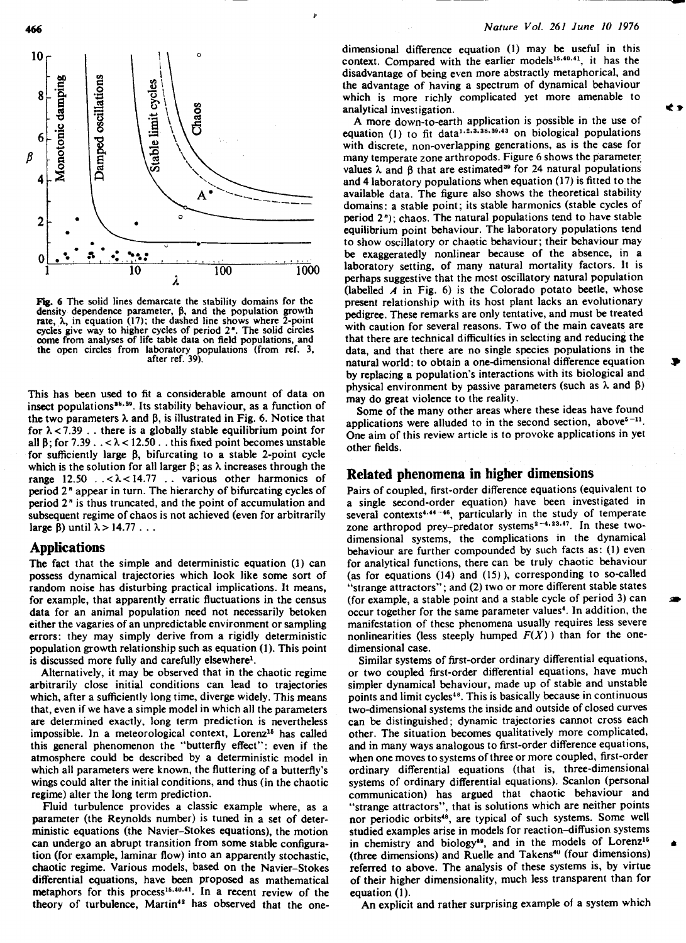

Fig. 6 The solid lines demarcate the stability domains for the density dependence parameter,  $\beta$ , and the population growth rate,  $\lambda$ , in equation (17); the dashed line shows where 2-point cycles give way to higher cycles of period  $2<sup>n</sup>$ . The solid circles come from analyses of life table data on field populations, and the open circles from laboratory populations (from ref. 3, after ref. 39).

This has been used to fit a considerable amount of data on insect populations<sup>38,39</sup>. Its stability behaviour, as a function of the two parameters  $\lambda$  and  $\beta$ , is illustrated in Fig. 6. Notice that for  $\lambda$  < 7.39 . . there is a globally stable equilibrium point for all  $\beta$ ; for 7.39.  $\lambda < 12.50$ . this fixed point becomes unstable for sufficiently large  $\beta$ , bifurcating to a stable 2-point cycle which is the solution for all larger  $\beta$ ; as  $\lambda$  increases through the range  $12.50$   $\ldots$  <  $\lambda$  <  $14.77$   $\ldots$  various other harmonics of period 2" appear in turn. The hierarchy of bifurcating cycles of period 2" is thus truncated, and the point of accumulation and subsequent regime of chaos is not achieved (even for arbitrarily large  $\beta$ ) until  $\lambda > 14.77$  . . .

#### **Applications**

The fact that the simple and deterministic equation (1) can possess dynamical trajectories which look like some sort of random noise has disturbing practical implications. It means, for example, that apparently erratic fluctuations in the census data for an animal population need not necessarily betoken either the vagaries of an unpredictable environment or sampling errors: they may simply derive from a rigidly deterministic population growth relationship such as equation (1). This point is discussed more fully and carefully elsewhere<sup>1</sup>.

Alternatively, it may be observed that in the chaotic regime arbitrarily close initial conditions can lead to trajectories which, after a sufficiently long time, diverge widely. This means that, even if we have a simple model in which all the parameters are determined exactly, long term prediction is nevertheless impossible. In a meteorological context, Lorenz<sup>15</sup> has called this general phenomenon the "butterfly effect": even if the atmosphere could be described by a deterministic model in which all parameters were known, the fluttering of a butterfly's wings could alter the initial conditions, and thus (in the chaotic regime) alter the long term prediction.

Fluid turbulence provides a classic example where, as a parameter (the Reynolds number) is tuned in a set of deterministic equations (the Navier-Stokes equations), the motion can undergo an abrupt transition from some stable configuration (for example, laminar flow) into an apparently stochastic, chaotic regime. Various models, based on the Navier-Stokes differential equations, have been proposed as mathematical metaphors for this process<sup>15,40,41</sup>. In a recent review of the theory of turbulence, Martin<sup>42</sup> has observed that the one-

#### *Nature Vol. 261 June* **10 1976**

dimensional difference equation (1) may be useful in this context. Compared with the earlier models<sup>15,40,41</sup>, it has the disadvantage of being even more abstractly metaphorical, and the advantage of having a spectrum of dynamical behaviour which is more richly complicated yet more amenable to analytical investigation.  $\blacktriangle$  **a** 

A more down-to-earth application is possible in the use of equation (1) to fit data<sup>1.2.3.38.39.43</sup> on biological populations with discrete, non-overlapping generations, as is the case for many temperate zone arthropods. Figure 6 shows the parameter values  $\lambda$  and  $\beta$  that are estimated<sup>39</sup> for 24 natural populations and 4 laboratory populations when equation (17) is fitted to the available data. The figure also shows the theoretical stability domains: a stable point; its stable harmonics (stable cycles of period 2"); chaos. The natural populations tend to have stable equilibrium point behaviour. The laboratory populations tend to show oscillatory or chaotic behaviour; their behaviour may be exaggeratedly nonlinear because of the absence, in a laboratory setting, of many natural mortality factors. It is perhaps suggestive that the most oscillatory natural population (labelled **A** in Fig. 6) is the Colorado potato beetle, whose present relationship with its host plant lacks an evolutionary pedigree. These remarks are only tentative, and must be treated with caution for several reasons. Two of the main caveats are that there are technical difficulties in selecting and reducing the data, and that there are no single species populations in the natural world: to obtain a one-dimensional difference equation by replacing a population's interactions with its biological and physical environment by passive parameters (such as  $\lambda$  and  $\beta$ ) may do great violence to the reality.

Some of the many other areas where these ideas have found applications were alluded to in the second section, above $5^{-11}$ . One aim of this review article is to provoke applications in yet other fields.

#### **Related phenomena in higher dimensions**

Pairs of coupled, first-order difference equations (equivalent to a single second-order equation) have been investigated in several contexts<sup>4,44-46</sup>, particularly in the study of temperate zone arthropod prey-predator systems<sup>2-4,23,47</sup>. In these twodimensional systems, the complications in the dynamical behaviour are further compounded by such facts as: (1) even for analytical functions, there can be truly chaotic behaviour (as for equations (14) and (15) ), corresponding to so-called "strange attractors"; and (2) two or more different stable states (for example, a stable point and a stable cycle of period 3) can occur together for the same parameter values<sup>4</sup>. In addition, the manifestation of these phenomena usually requires less severe nonlinearities (less steeply humped  $F(X)$ ) than for the onedimensional case.

Similar systems of first-order ordinary differential equations, or two coupled first-order differential equations, have much simpler dynamical behaviour, made up of stable and unstable points and limit cycles<sup>48</sup>. This is basically because in continuous two-dimensional systems the inside and outside of closed curves can be distinguished; dynamic trajectories cannot cross each other. The situation becomes qualitatively more complicated, and in many ways analogous to first-order difference equations, when one moves to systems of three or more coupled, first-order ordinary differential equations (that is, three-dimensional systems of ordinary differential equations). Scanlon (personal communication) has argued that chaotic behaviour and "strange attractors", that is solutions which are neither points nor periodic orbits<sup>48</sup>, are typical of such systems. Some well studied examples arise in models for reaction-diffusion systems in chemistry and biology<sup>49</sup>, and in the models of Lorenz<sup>15</sup> (three dimensions) and Ruelle and Takens<sup>40</sup> (four dimensions) referred to above. The analysis of these systems is, by virtue of their higher dimensionality, much less transparent than for equation **(1).** 

An explicit and rather surprising example of a system which

466